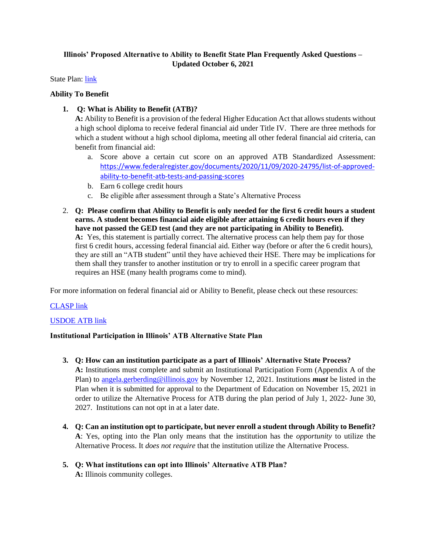# **Illinois' Proposed Alternative to Ability to Benefit State Plan Frequently Asked Questions – Updated October 6, 2021**

State Plan: [link](http://www2.iccb.org/adult_ed/wp-content/uploads/2021/10/Illinois_Ability_to_Benefit_Alternative_State_Plan.pdf)

## **Ability To Benefit**

**1. Q: What is Ability to Benefit (ATB)?**

**A:** Ability to Benefit is a provision of the federal Higher Education Act that allows students without a high school diploma to receive federal financial aid under Title IV. There are three methods for which a student without a high school diploma, meeting all other federal financial aid criteria, can benefit from financial aid:

- a. Score above a certain cut score on an approved ATB Standardized Assessment: [https://www.federalregister.gov/documents/2020/11/09/2020-24795/list-of-approved](https://www.federalregister.gov/documents/2020/11/09/2020-24795/list-of-approved-ability-to-benefit-atb-tests-and-passing-scores)[ability-to-benefit-atb-tests-and-passing-scores](https://www.federalregister.gov/documents/2020/11/09/2020-24795/list-of-approved-ability-to-benefit-atb-tests-and-passing-scores)
- b. Earn 6 college credit hours
- c. Be eligible after assessment through a State's Alternative Process
- 2. **Q: Please confirm that Ability to Benefit is only needed for the first 6 credit hours a student earns. A student becomes financial aide eligible after attaining 6 credit hours even if they have not passed the GED test (and they are not participating in Ability to Benefit). A:** Yes, this statement is partially correct. The alternative process can help them pay for those first 6 credit hours, accessing federal financial aid. Either way (before or after the 6 credit hours), they are still an "ATB student" until they have achieved their HSE. There may be implications for them shall they transfer to another institution or try to enroll in a specific career program that requires an HSE (many health programs come to mind).

For more information on federal financial aid or Ability to Benefit, please check out these resources:

# [CLASP link](https://www.clasp.org/resources-ability-benefit)

# [USDOE ATB link](https://fsapartners.ed.gov/knowledge-center/library/electronic-announcements/2021-01-15/ability-benefit-frequently-asked-questions-ea-id-ope-announcements-21-02)

### **Institutional Participation in Illinois' ATB Alternative State Plan**

- **3. Q: How can an institution participate as a part of Illinois' Alternative State Process? A:** Institutions must complete and submit an Institutional Participation Form (Appendix A of the Plan) to [angela.gerberding@illinois.gov](mailto:angela.gerberding@illinois.gov) by November 12, 2021. Institutions *must* be listed in the Plan when it is submitted for approval to the Department of Education on November 15, 2021 in order to utilize the Alternative Process for ATB during the plan period of July 1, 2022- June 30, 2027. Institutions can not opt in at a later date.
- **4. Q: Can an institution opt to participate, but never enroll a student through Ability to Benefit? A**: Yes, opting into the Plan only means that the institution has the *opportunity* to utilize the Alternative Process. It *does not require* that the institution utilize the Alternative Process.
- **5. Q: What institutions can opt into Illinois' Alternative ATB Plan? A:** Illinois community colleges.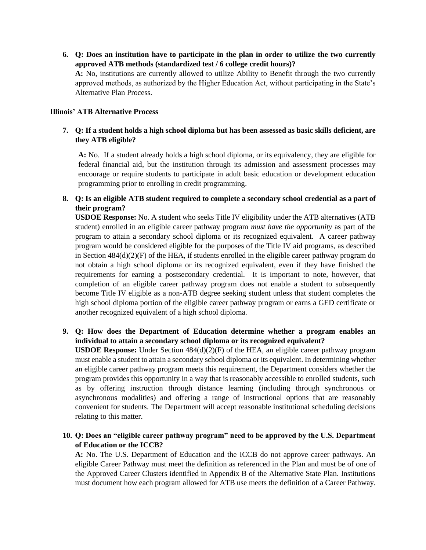**6. Q: Does an institution have to participate in the plan in order to utilize the two currently approved ATB methods (standardized test / 6 college credit hours)?**

**A:** No, institutions are currently allowed to utilize Ability to Benefit through the two currently approved methods, as authorized by the Higher Education Act, without participating in the State's Alternative Plan Process.

### **Illinois' ATB Alternative Process**

## **7. Q: If a student holds a high school diploma but has been assessed as basic skills deficient, are they ATB eligible?**

**A:** No. If a student already holds a high school diploma, or its equivalency, they are eligible for federal financial aid, but the institution through its admission and assessment processes may encourage or require students to participate in adult basic education or development education programming prior to enrolling in credit programming.

# **8. Q: Is an eligible ATB student required to complete a secondary school credential as a part of their program?**

**USDOE Response:** No. A student who seeks Title IV eligibility under the ATB alternatives (ATB student) enrolled in an eligible career pathway program *must have the opportunity* as part of the program to attain a secondary school diploma or its recognized equivalent. A career pathway program would be considered eligible for the purposes of the Title IV aid programs, as described in Section 484(d)(2)(F) of the HEA, if students enrolled in the eligible career pathway program do not obtain a high school diploma or its recognized equivalent, even if they have finished the requirements for earning a postsecondary credential. It is important to note, however, that completion of an eligible career pathway program does not enable a student to subsequently become Title IV eligible as a non-ATB degree seeking student unless that student completes the high school diploma portion of the eligible career pathway program or earns a GED certificate or another recognized equivalent of a high school diploma.

## **9. Q: How does the Department of Education determine whether a program enables an individual to attain a secondary school diploma or its recognized equivalent?**

**USDOE Response:** Under Section 484(d)(2)(F) of the HEA, an eligible career pathway program must enable a student to attain a secondary school diploma or its equivalent. In determining whether an eligible career pathway program meets this requirement, the Department considers whether the program provides this opportunity in a way that is reasonably accessible to enrolled students, such as by offering instruction through distance learning (including through synchronous or asynchronous modalities) and offering a range of instructional options that are reasonably convenient for students. The Department will accept reasonable institutional scheduling decisions relating to this matter.

## **10. Q: Does an "eligible career pathway program" need to be approved by the U.S. Department of Education or the ICCB?**

**A:** No. The U.S. Department of Education and the ICCB do not approve career pathways. An eligible Career Pathway must meet the definition as referenced in the Plan and must be of one of the Approved Career Clusters identified in Appendix B of the Alternative State Plan. Institutions must document how each program allowed for ATB use meets the definition of a Career Pathway.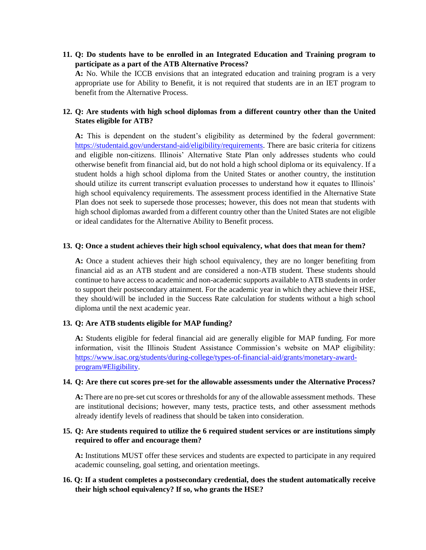**11. Q: Do students have to be enrolled in an Integrated Education and Training program to participate as a part of the ATB Alternative Process?** 

**A:** No. While the ICCB envisions that an integrated education and training program is a very appropriate use for Ability to Benefit, it is not required that students are in an IET program to benefit from the Alternative Process.

### **12. Q: Are students with high school diplomas from a different country other than the United States eligible for ATB?**

**A:** This is dependent on the student's eligibility as determined by the federal government: [https://studentaid.gov/understand-aid/eligibility/requirements.](https://studentaid.gov/understand-aid/eligibility/requirements) There are basic criteria for citizens and eligible non-citizens. Illinois' Alternative State Plan only addresses students who could otherwise benefit from financial aid, but do not hold a high school diploma or its equivalency. If a student holds a high school diploma from the United States or another country, the institution should utilize its current transcript evaluation processes to understand how it equates to Illinois' high school equivalency requirements. The assessment process identified in the Alternative State Plan does not seek to supersede those processes; however, this does not mean that students with high school diplomas awarded from a different country other than the United States are not eligible or ideal candidates for the Alternative Ability to Benefit process.

### **13. Q: Once a student achieves their high school equivalency, what does that mean for them?**

**A:** Once a student achieves their high school equivalency, they are no longer benefiting from financial aid as an ATB student and are considered a non-ATB student. These students should continue to have access to academic and non-academic supports available to ATB students in order to support their postsecondary attainment. For the academic year in which they achieve their HSE, they should/will be included in the Success Rate calculation for students without a high school diploma until the next academic year.

### **13. Q: Are ATB students eligible for MAP funding?**

**A:** Students eligible for federal financial aid are generally eligible for MAP funding. For more information, visit the Illinois Student Assistance Commission's website on MAP eligibility: [https://www.isac.org/students/during-college/types-of-financial-aid/grants/monetary-award](https://www.isac.org/students/during-college/types-of-financial-aid/grants/monetary-award-program/#Eligibility)[program/#Eligibility.](https://www.isac.org/students/during-college/types-of-financial-aid/grants/monetary-award-program/#Eligibility)

### **14. Q: Are there cut scores pre-set for the allowable assessments under the Alternative Process?**

**A:** There are no pre-set cut scores or thresholds for any of the allowable assessment methods. These are institutional decisions; however, many tests, practice tests, and other assessment methods already identify levels of readiness that should be taken into consideration.

### **15. Q: Are students required to utilize the 6 required student services or are institutions simply required to offer and encourage them?**

**A:** Institutions MUST offer these services and students are expected to participate in any required academic counseling, goal setting, and orientation meetings.

## **16. Q: If a student completes a postsecondary credential, does the student automatically receive their high school equivalency? If so, who grants the HSE?**